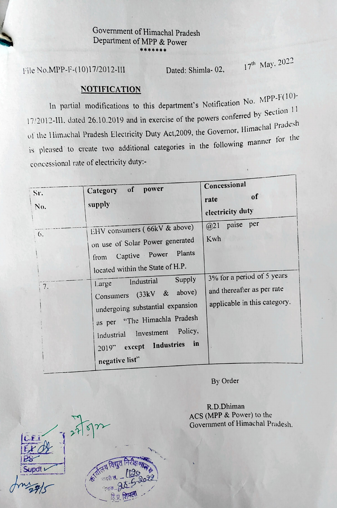## Government of Himachal Pradesh Department of MPP & Power \*\*\*\*\*\*\*

File No.MPP-F-(10)17/2012-III

Dated: Shimla- 02,

17<sup>th</sup> May. 2022

## NOTIFICATION

In partial modifications to this department's Notification No.  $MP<sup>P-F(</sup>$ 17/2012-III. dated 26.10.2019 and in exercise of the powers conferred by Section 11 radesh of the Himachal Pradesh Electricity Duty Act, 2009, the Governor, Himachal Practice is pleased to create two additional categories in the following manner for the concessional rate of electricity duty:-

| Sr.<br>No.       | power<br>of<br>Category<br>supply                                                                                                                                                                                                                                                                                                                                         | Concessional<br>of<br>rate<br>electricity duty                                                                                     |
|------------------|---------------------------------------------------------------------------------------------------------------------------------------------------------------------------------------------------------------------------------------------------------------------------------------------------------------------------------------------------------------------------|------------------------------------------------------------------------------------------------------------------------------------|
| $\theta$ .<br>7. | EHV consumers (66kV & above)<br>on use of Solar Power generated<br>Plants<br>Captive Power<br>from<br>located within the State of H.P.<br>Supply<br>Industrial<br>Large<br>above)<br>Consumers $(33kV \& )$<br>undergoing substantial expansion<br>as per "The Himachla Pradesh<br>Policy,<br>Industrial Investment<br>in<br>Industries<br>2019" except<br>negative list" | paise per<br>$(2)$ <sup>1</sup><br>Kwh<br>3% for a period of 5 years<br>and thereafter as per rate<br>applicable in this category. |

By Order

R.D.Dhiman ACS (MPP & Power) to the Government of Himachal Pradesh.

LCEI  $PS$ Supdt  $\frac{1}{20}$